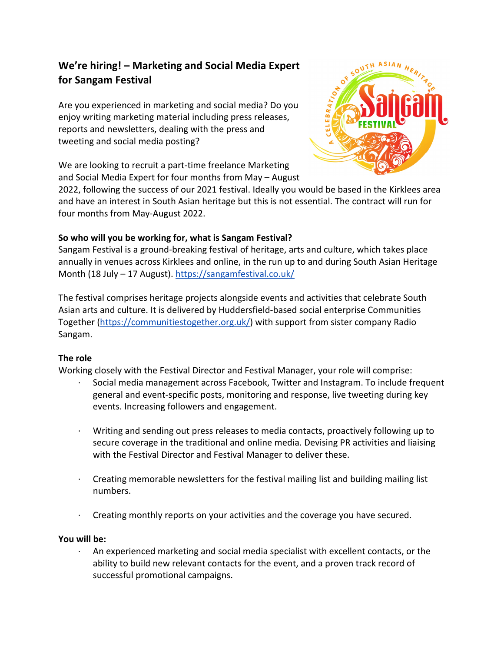# **We're hiring! – Marketing and Social Media Expert for Sangam Festival**

Are you experienced in marketing and social media? Do you enjoy writing marketing material including press releases, reports and newsletters, dealing with the press and tweeting and social media posting?

We are looking to recruit a part-time freelance Marketing and Social Media Expert for four months from May – August



2022, following the success of our 2021 festival. Ideally you would be based in the Kirklees area and have an interest in South Asian heritage but this is not essential. The contract will run for four months from May-August 2022.

# **So who will you be working for, what is Sangam Festival?**

Sangam Festival is a ground-breaking festival of heritage, arts and culture, which takes place annually in venues across Kirklees and online, in the run up to and during South Asian Heritage Month (18 July – 17 August). https://sangamfestival.co.uk/

The festival comprises heritage projects alongside events and activities that celebrate South Asian arts and culture. It is delivered by Huddersfield-based social enterprise Communities Together (https://communitiestogether.org.uk/) with support from sister company Radio Sangam.

# **The role**

Working closely with the Festival Director and Festival Manager, your role will comprise:

- · Social media management across Facebook, Twitter and Instagram. To include frequent general and event-specific posts, monitoring and response, live tweeting during key events. Increasing followers and engagement.
- · Writing and sending out press releases to media contacts, proactively following up to secure coverage in the traditional and online media. Devising PR activities and liaising with the Festival Director and Festival Manager to deliver these.
- · Creating memorable newsletters for the festival mailing list and building mailing list numbers.
- · Creating monthly reports on your activities and the coverage you have secured.

### **You will be:**

· An experienced marketing and social media specialist with excellent contacts, or the ability to build new relevant contacts for the event, and a proven track record of successful promotional campaigns.